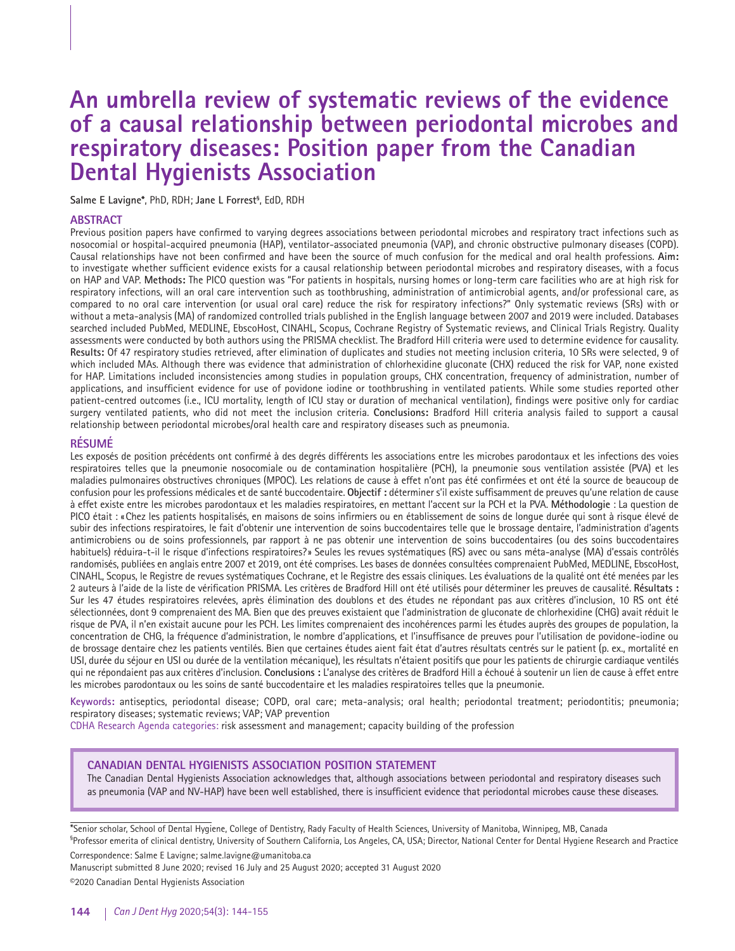# **An umbrella review of systematic reviews of the evidence of a causal relationship between periodontal microbes and respiratory diseases: Position paper from the Canadian Dental Hygienists Association**

**Salme E Lavigne\***, PhD, RDH; **Jane L Forrest§** , EdD, RDH

#### **ABSTRACT**

Previous position papers have confirmed to varying degrees associations between periodontal microbes and respiratory tract infections such as nosocomial or hospital-acquired pneumonia (HAP), ventilator-associated pneumonia (VAP), and chronic obstructive pulmonary diseases (COPD). Causal relationships have not been confirmed and have been the source of much confusion for the medical and oral health professions. **Aim:**  to investigate whether sufficient evidence exists for a causal relationship between periodontal microbes and respiratory diseases, with a focus on HAP and VAP. **Methods:** The PICO question was "For patients in hospitals, nursing homes or long-term care facilities who are at high risk for respiratory infections, will an oral care intervention such as toothbrushing, administration of antimicrobial agents, and/or professional care, as compared to no oral care intervention (or usual oral care) reduce the risk for respiratory infections?" Only systematic reviews (SRs) with or without a meta-analysis (MA) of randomized controlled trials published in the English language between 2007 and 2019 were included. Databases searched included PubMed, MEDLINE, EbscoHost, CINAHL, Scopus, Cochrane Registry of Systematic reviews, and Clinical Trials Registry. Quality assessments were conducted by both authors using the PRISMA checklist. The Bradford Hill criteria were used to determine evidence for causality. **Results:** Of 47 respiratory studies retrieved, after elimination of duplicates and studies not meeting inclusion criteria, 10 SRs were selected, 9 of which included MAs. Although there was evidence that administration of chlorhexidine gluconate (CHX) reduced the risk for VAP, none existed for HAP. Limitations included inconsistencies among studies in population groups, CHX concentration, frequency of administration, number of applications, and insufficient evidence for use of povidone iodine or toothbrushing in ventilated patients. While some studies reported other patient-centred outcomes (i.e., ICU mortality, length of ICU stay or duration of mechanical ventilation), findings were positive only for cardiac surgery ventilated patients, who did not meet the inclusion criteria. **Conclusions:** Bradford Hill criteria analysis failed to support a causal relationship between periodontal microbes/oral health care and respiratory diseases such as pneumonia.

## **RÉSUMÉ**

Les exposés de position précédents ont confirmé à des degrés différents les associations entre les microbes parodontaux et les infections des voies respiratoires telles que la pneumonie nosocomiale ou de contamination hospitalière (PCH), la pneumonie sous ventilation assistée (PVA) et les maladies pulmonaires obstructives chroniques (MPOC). Les relations de cause à effet n'ont pas été confirmées et ont été la source de beaucoup de confusion pour les professions médicales et de santé buccodentaire. **Objectif :** déterminer s'il existe suffisamment de preuves qu'une relation de cause à effet existe entre les microbes parodontaux et les maladies respiratoires, en mettant l'accent sur la PCH et la PVA. **Méthodologie** : La question de PICO était : « Chez les patients hospitalisés, en maisons de soins infirmiers ou en établissement de soins de longue durée qui sont à risque élevé de subir des infections respiratoires, le fait d'obtenir une intervention de soins buccodentaires telle que le brossage dentaire, l'administration d'agents antimicrobiens ou de soins professionnels, par rapport à ne pas obtenir une intervention de soins buccodentaires (ou des soins buccodentaires habituels) réduira-t-il le risque d'infections respiratoires? » Seules les revues systématiques (RS) avec ou sans méta-analyse (MA) d'essais contrôlés randomisés, publiées en anglais entre 2007 et 2019, ont été comprises. Les bases de données consultées comprenaient PubMed, MEDLINE, EbscoHost, CINAHL, Scopus, le Registre de revues systématiques Cochrane, et le Registre des essais cliniques. Les évaluations de la qualité ont été menées par les 2 auteurs à l'aide de la liste de vérification PRISMA. Les critères de Bradford Hill ont été utilisés pour déterminer les preuves de causalité. **Résultats :**  Sur les 47 études respiratoires relevées, après élimination des doublons et des études ne répondant pas aux critères d'inclusion, 10 RS ont été sélectionnées, dont 9 comprenaient des MA. Bien que des preuves existaient que l'administration de gluconate de chlorhexidine (CHG) avait réduit le risque de PVA, il n'en existait aucune pour les PCH. Les limites comprenaient des incohérences parmi les études auprès des groupes de population, la concentration de CHG, la fréquence d'administration, le nombre d'applications, et l'insuffisance de preuves pour l'utilisation de povidone-iodine ou de brossage dentaire chez les patients ventilés. Bien que certaines études aient fait état d'autres résultats centrés sur le patient (p. ex., mortalité en USI, durée du séjour en USI ou durée de la ventilation mécanique), les résultats n'étaient positifs que pour les patients de chirurgie cardiaque ventilés qui ne répondaient pas aux critères d'inclusion. **Conclusions :** L'analyse des critères de Bradford Hill a échoué à soutenir un lien de cause à effet entre les microbes parodontaux ou les soins de santé buccodentaire et les maladies respiratoires telles que la pneumonie.

**Keywords:** antiseptics, periodontal disease; COPD, oral care; meta-analysis; oral health; periodontal treatment; periodontitis; pneumonia; respiratory diseases; systematic reviews; VAP; VAP prevention

CDHA Research Agenda categories: risk assessment and management; capacity building of the profession

## **CANADIAN DENTAL HYGIENISTS ASSOCIATION POSITION STATEMENT**

The Canadian Dental Hygienists Association acknowledges that, although associations between periodontal and respiratory diseases such as pneumonia (VAP and NV-HAP) have been well established, there is insufficient evidence that periodontal microbes cause these diseases.

\*Senior scholar, School of Dental Hygiene, College of Dentistry, Rady Faculty of Health Sciences, University of Manitoba, Winnipeg, MB, Canada

§ Professor emerita of clinical dentistry, University of Southern California, Los Angeles, CA, USA; Director, National Center for Dental Hygiene Research and Practice

Correspondence: Salme E Lavigne; salme.lavigne@umanitoba.ca

Manuscript submitted 8 June 2020; revised 16 July and 25 August 2020; accepted 31 August 2020 ©2020 Canadian Dental Hygienists Association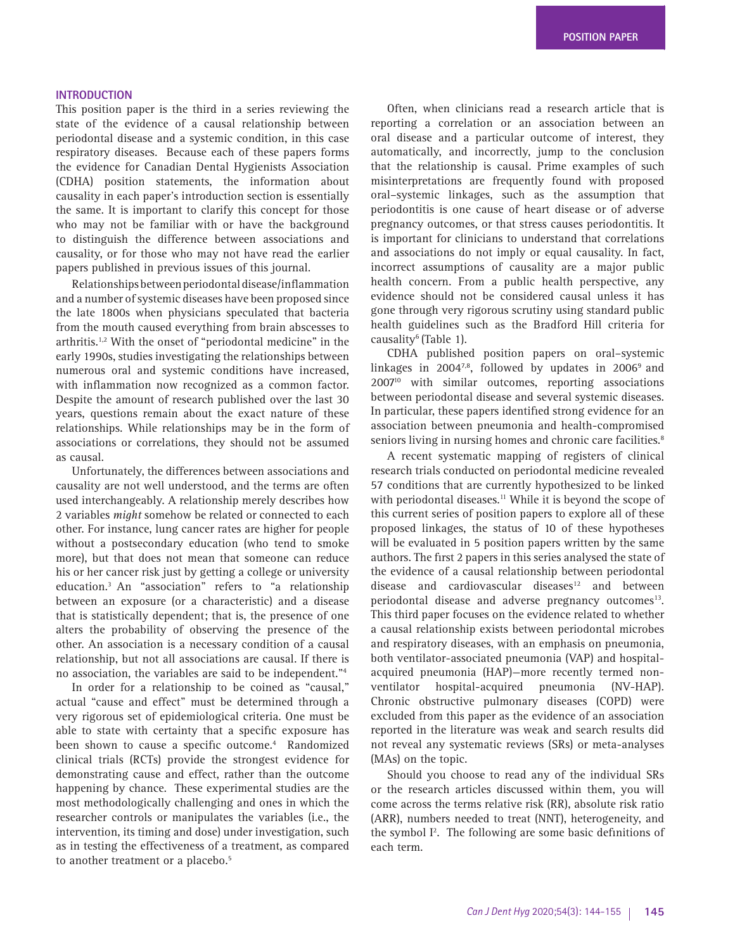#### **INTRODUCTION**

This position paper is the third in a series reviewing the state of the evidence of a causal relationship between periodontal disease and a systemic condition, in this case respiratory diseases. Because each of these papers forms the evidence for Canadian Dental Hygienists Association (CDHA) position statements, the information about causality in each paper's introduction section is essentially the same. It is important to clarify this concept for those who may not be familiar with or have the background to distinguish the difference between associations and causality, or for those who may not have read the earlier papers published in previous issues of this journal.

Relationships between periodontal disease/inflammation and a number of systemic diseases have been proposed since the late 1800s when physicians speculated that bacteria from the mouth caused everything from brain abscesses to arthritis.<sup>1,2</sup> With the onset of "periodontal medicine" in the early 1990s, studies investigating the relationships between numerous oral and systemic conditions have increased, with inflammation now recognized as a common factor. Despite the amount of research published over the last 30 years, questions remain about the exact nature of these relationships. While relationships may be in the form of associations or correlations, they should not be assumed as causal.

Unfortunately, the differences between associations and causality are not well understood, and the terms are often used interchangeably. A relationship merely describes how 2 variables *might* somehow be related or connected to each other. For instance, lung cancer rates are higher for people without a postsecondary education (who tend to smoke more), but that does not mean that someone can reduce his or her cancer risk just by getting a college or university education.3 An "association" refers to "a relationship between an exposure (or a characteristic) and a disease that is statistically dependent; that is, the presence of one alters the probability of observing the presence of the other. An association is a necessary condition of a causal relationship, but not all associations are causal. If there is no association, the variables are said to be independent."4

In order for a relationship to be coined as "causal," actual "cause and effect" must be determined through a very rigorous set of epidemiological criteria. One must be able to state with certainty that a specific exposure has been shown to cause a specific outcome.<sup>4</sup> Randomized clinical trials (RCTs) provide the strongest evidence for demonstrating cause and effect, rather than the outcome happening by chance. These experimental studies are the most methodologically challenging and ones in which the researcher controls or manipulates the variables (i.e., the intervention, its timing and dose) under investigation, such as in testing the effectiveness of a treatment, as compared to another treatment or a placebo.<sup>5</sup>

Often, when clinicians read a research article that is reporting a correlation or an association between an oral disease and a particular outcome of interest, they automatically, and incorrectly, jump to the conclusion that the relationship is causal. Prime examples of such misinterpretations are frequently found with proposed oral–systemic linkages, such as the assumption that periodontitis is one cause of heart disease or of adverse pregnancy outcomes, or that stress causes periodontitis. It is important for clinicians to understand that correlations and associations do not imply or equal causality. In fact, incorrect assumptions of causality are a major public health concern. From a public health perspective, any evidence should not be considered causal unless it has gone through very rigorous scrutiny using standard public health guidelines such as the Bradford Hill criteria for causality<sup>6</sup> (Table 1).

CDHA published position papers on oral–systemic linkages in 2004 $7.8$ , followed by updates in 2006 $9$  and 200710 with similar outcomes, reporting associations between periodontal disease and several systemic diseases. In particular, these papers identified strong evidence for an association between pneumonia and health-compromised seniors living in nursing homes and chronic care facilities.<sup>8</sup>

A recent systematic mapping of registers of clinical research trials conducted on periodontal medicine revealed 57 conditions that are currently hypothesized to be linked with periodontal diseases.<sup>11</sup> While it is beyond the scope of this current series of position papers to explore all of these proposed linkages, the status of 10 of these hypotheses will be evaluated in 5 position papers written by the same authors. The first 2 papers in this series analysed the state of the evidence of a causal relationship between periodontal disease and cardiovascular diseases $12$  and between periodontal disease and adverse pregnancy outcomes<sup>13</sup>. This third paper focuses on the evidence related to whether a causal relationship exists between periodontal microbes and respiratory diseases, with an emphasis on pneumonia, both ventilator-associated pneumonia (VAP) and hospitalacquired pneumonia (HAP)—more recently termed nonventilator hospital-acquired pneumonia (NV-HAP). Chronic obstructive pulmonary diseases (COPD) were excluded from this paper as the evidence of an association reported in the literature was weak and search results did not reveal any systematic reviews (SRs) or meta-analyses (MAs) on the topic.

Should you choose to read any of the individual SRs or the research articles discussed within them, you will come across the terms relative risk (RR), absolute risk ratio (ARR), numbers needed to treat (NNT), heterogeneity, and the symbol I<sup>2</sup>. The following are some basic definitions of each term.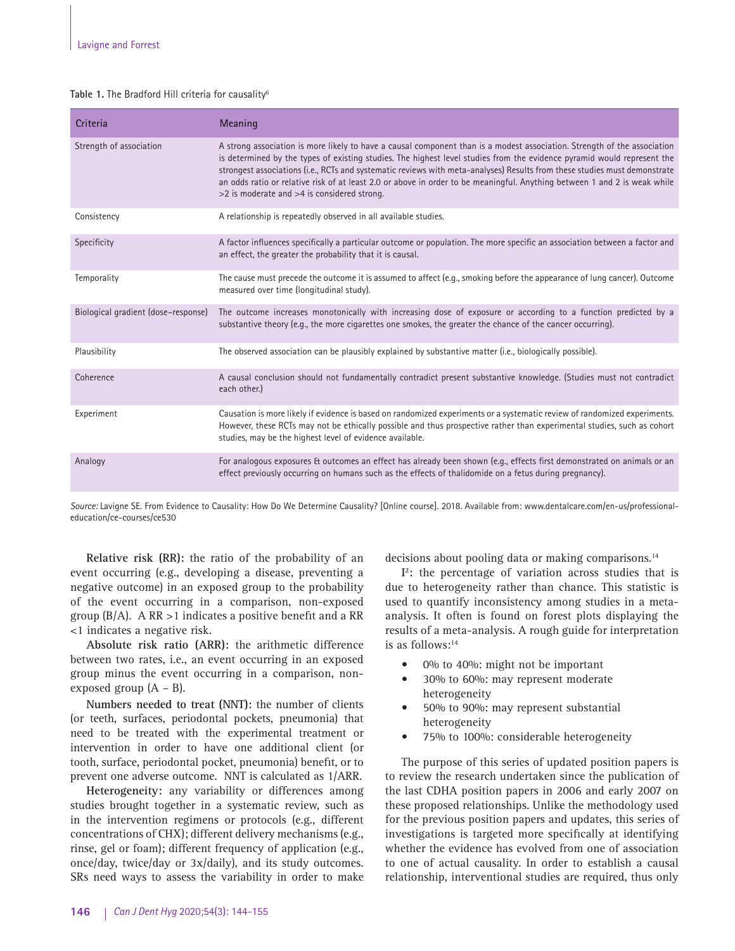#### Table 1. The Bradford Hill criteria for causality<sup>6</sup>

| Criteria                            | Meaning                                                                                                                                                                                                                                                                                                                                                                                                                                                                                                                                                            |
|-------------------------------------|--------------------------------------------------------------------------------------------------------------------------------------------------------------------------------------------------------------------------------------------------------------------------------------------------------------------------------------------------------------------------------------------------------------------------------------------------------------------------------------------------------------------------------------------------------------------|
| Strength of association             | A strong association is more likely to have a causal component than is a modest association. Strength of the association<br>is determined by the types of existing studies. The highest level studies from the evidence pyramid would represent the<br>strongest associations (i.e., RCTs and systematic reviews with meta-analyses) Results from these studies must demonstrate<br>an odds ratio or relative risk of at least 2.0 or above in order to be meaningful. Anything between 1 and 2 is weak while<br>$>$ 2 is moderate and $>$ 4 is considered strong. |
| Consistency                         | A relationship is repeatedly observed in all available studies.                                                                                                                                                                                                                                                                                                                                                                                                                                                                                                    |
| Specificity                         | A factor influences specifically a particular outcome or population. The more specific an association between a factor and<br>an effect, the greater the probability that it is causal.                                                                                                                                                                                                                                                                                                                                                                            |
| Temporality                         | The cause must precede the outcome it is assumed to affect (e.g., smoking before the appearance of lung cancer). Outcome<br>measured over time (longitudinal study).                                                                                                                                                                                                                                                                                                                                                                                               |
| Biological gradient (dose-response) | The outcome increases monotonically with increasing dose of exposure or according to a function predicted by a<br>substantive theory (e.g., the more cigarettes one smokes, the greater the chance of the cancer occurring).                                                                                                                                                                                                                                                                                                                                       |
| Plausibility                        | The observed association can be plausibly explained by substantive matter (i.e., biologically possible).                                                                                                                                                                                                                                                                                                                                                                                                                                                           |
| Coherence                           | A causal conclusion should not fundamentally contradict present substantive knowledge. (Studies must not contradict<br>each other.)                                                                                                                                                                                                                                                                                                                                                                                                                                |
| Experiment                          | Causation is more likely if evidence is based on randomized experiments or a systematic review of randomized experiments.<br>However, these RCTs may not be ethically possible and thus prospective rather than experimental studies, such as cohort<br>studies, may be the highest level of evidence available.                                                                                                                                                                                                                                                   |
| Analogy                             | For analogous exposures & outcomes an effect has already been shown (e.g., effects first demonstrated on animals or an<br>effect previously occurring on humans such as the effects of thalidomide on a fetus during pregnancy).                                                                                                                                                                                                                                                                                                                                   |

*Source:* Lavigne SE. From Evidence to Causality: How Do We Determine Causality? [Online course]. 2018. Available from: www.dentalcare.com/en-us/professionaleducation/ce-courses/ce530

**Relative risk (RR):** the ratio of the probability of an event occurring (e.g., developing a disease, preventing a negative outcome) in an exposed group to the probability of the event occurring in a comparison, non-exposed group  $(B/A)$ . A RR >1 indicates a positive benefit and a RR <1 indicates a negative risk.

**Absolute risk ratio (ARR):** the arithmetic difference between two rates, i.e., an event occurring in an exposed group minus the event occurring in a comparison, nonexposed group (A – B).

**Numbers needed to treat (NNT):** the number of clients (or teeth, surfaces, periodontal pockets, pneumonia) that need to be treated with the experimental treatment or intervention in order to have one additional client (or tooth, surface, periodontal pocket, pneumonia) benefit, or to prevent one adverse outcome. NNT is calculated as 1/ARR.

**Heterogeneity:** any variability or differences among studies brought together in a systematic review, such as in the intervention regimens or protocols (e.g., different concentrations of CHX); different delivery mechanisms (e.g., rinse, gel or foam); different frequency of application (e.g., once/day, twice/day or 3x/daily), and its study outcomes. SRs need ways to assess the variability in order to make decisions about pooling data or making comparisons.14

**I 2 :** the percentage of variation across studies that is due to heterogeneity rather than chance. This statistic is used to quantify inconsistency among studies in a metaanalysis. It often is found on forest plots displaying the results of a meta-analysis. A rough guide for interpretation is as follows:14

- 0% to 40%: might not be important
- 30% to 60%: may represent moderate heterogeneity
- 50% to 90%: may represent substantial heterogeneity
- 75% to 100%: considerable heterogeneity

The purpose of this series of updated position papers is to review the research undertaken since the publication of the last CDHA position papers in 2006 and early 2007 on these proposed relationships. Unlike the methodology used for the previous position papers and updates, this series of investigations is targeted more specifically at identifying whether the evidence has evolved from one of association to one of actual causality. In order to establish a causal relationship, interventional studies are required, thus only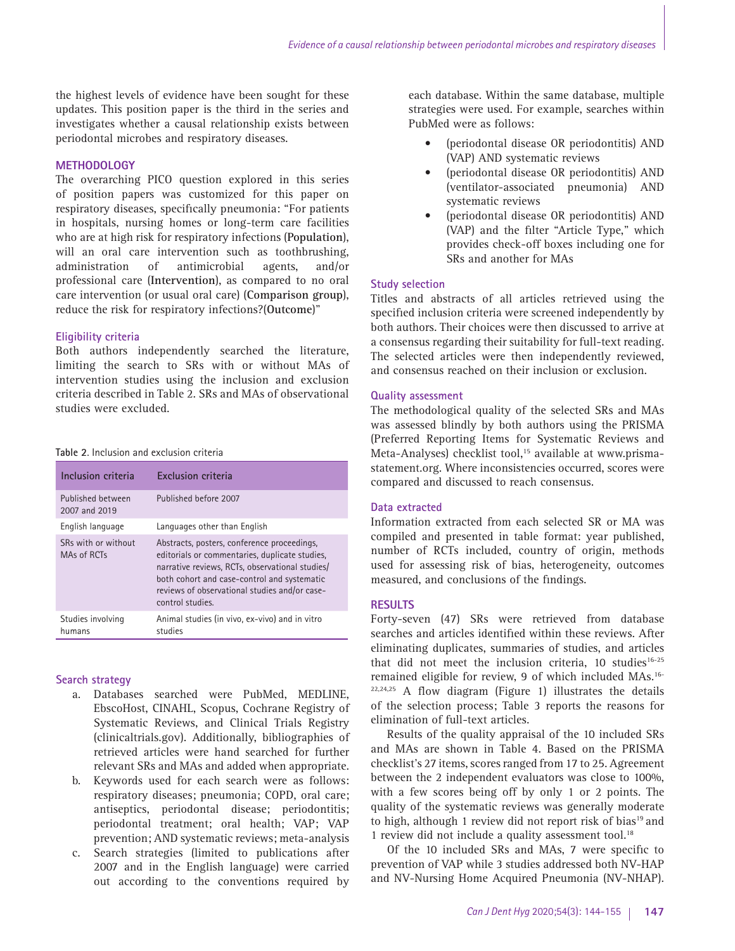the highest levels of evidence have been sought for these updates. This position paper is the third in the series and investigates whether a causal relationship exists between periodontal microbes and respiratory diseases.

## **METHODOLOGY**

The overarching PICO question explored in this series of position papers was customized for this paper on respiratory diseases, specifically pneumonia: "For patients in hospitals, nursing homes or long-term care facilities who are at high risk for respiratory infections (**Population**), will an oral care intervention such as toothbrushing, administration of antimicrobial agents, and/or professional care (**Intervention**), as compared to no oral care intervention (or usual oral care) (**Comparison group**), reduce the risk for respiratory infections?(**Outcome**)"

# **Eligibility criteria**

Both authors independently searched the literature, limiting the search to SRs with or without MAs of intervention studies using the inclusion and exclusion criteria described in Table 2. SRs and MAs of observational studies were excluded.

| Table 2. Inclusion and exclusion criteria |  |
|-------------------------------------------|--|
|-------------------------------------------|--|

| Inclusion criteria                 | <b>Exclusion criteria</b>                                                                                                                                                                                                                                            |
|------------------------------------|----------------------------------------------------------------------------------------------------------------------------------------------------------------------------------------------------------------------------------------------------------------------|
| Published between<br>2007 and 2019 | Published before 2007                                                                                                                                                                                                                                                |
| English language                   | Languages other than English                                                                                                                                                                                                                                         |
| SRs with or without<br>MAs of RCTs | Abstracts, posters, conference proceedings,<br>editorials or commentaries, duplicate studies,<br>narrative reviews, RCTs, observational studies/<br>both cohort and case-control and systematic<br>reviews of observational studies and/or case-<br>control studies. |
| Studies involving<br>humans        | Animal studies (in vivo, ex-vivo) and in vitro<br>studies                                                                                                                                                                                                            |

## **Search strategy**

- a. Databases searched were PubMed, MEDLINE, EbscoHost, CINAHL, Scopus, Cochrane Registry of Systematic Reviews, and Clinical Trials Registry (clinicaltrials.gov). Additionally, bibliographies of retrieved articles were hand searched for further relevant SRs and MAs and added when appropriate.
- b. Keywords used for each search were as follows: respiratory diseases; pneumonia; COPD, oral care; antiseptics, periodontal disease; periodontitis; periodontal treatment; oral health; VAP; VAP prevention; AND systematic reviews; meta-analysis
- c. Search strategies (limited to publications after 2007 and in the English language) were carried out according to the conventions required by

each database. Within the same database, multiple strategies were used. For example, searches within PubMed were as follows:

- (periodontal disease OR periodontitis) AND (VAP) AND systematic reviews
- (periodontal disease OR periodontitis) AND (ventilator-associated pneumonia) AND systematic reviews
- (periodontal disease OR periodontitis) AND (VAP) and the filter "Article Type," which provides check-off boxes including one for SRs and another for MAs

#### **Study selection**

Titles and abstracts of all articles retrieved using the specified inclusion criteria were screened independently by both authors. Their choices were then discussed to arrive at a consensus regarding their suitability for full-text reading. The selected articles were then independently reviewed, and consensus reached on their inclusion or exclusion.

## **Quality assessment**

The methodological quality of the selected SRs and MAs was assessed blindly by both authors using the PRISMA (Preferred Reporting Items for Systematic Reviews and Meta-Analyses) checklist tool,<sup>15</sup> available at www.prismastatement.org. Where inconsistencies occurred, scores were compared and discussed to reach consensus.

# **Data extracted**

Information extracted from each selected SR or MA was compiled and presented in table format: year published, number of RCTs included, country of origin, methods used for assessing risk of bias, heterogeneity, outcomes measured, and conclusions of the findings.

#### **RESULTS**

Forty-seven (47) SRs were retrieved from database searches and articles identified within these reviews. After eliminating duplicates, summaries of studies, and articles that did not meet the inclusion criteria,  $10$  studies<sup>16-25</sup> remained eligible for review, 9 of which included MAs.16-  $22,24,25$  A flow diagram (Figure 1) illustrates the details of the selection process; Table 3 reports the reasons for elimination of full-text articles.

Results of the quality appraisal of the 10 included SRs and MAs are shown in Table 4. Based on the PRISMA checklist's 27 items, scores ranged from 17 to 25. Agreement between the 2 independent evaluators was close to 100%, with a few scores being off by only 1 or 2 points. The quality of the systematic reviews was generally moderate to high, although 1 review did not report risk of bias<sup>19</sup> and 1 review did not include a quality assessment tool.<sup>18</sup>

Of the 10 included SRs and MAs, 7 were specific to prevention of VAP while 3 studies addressed both NV-HAP and NV-Nursing Home Acquired Pneumonia (NV-NHAP).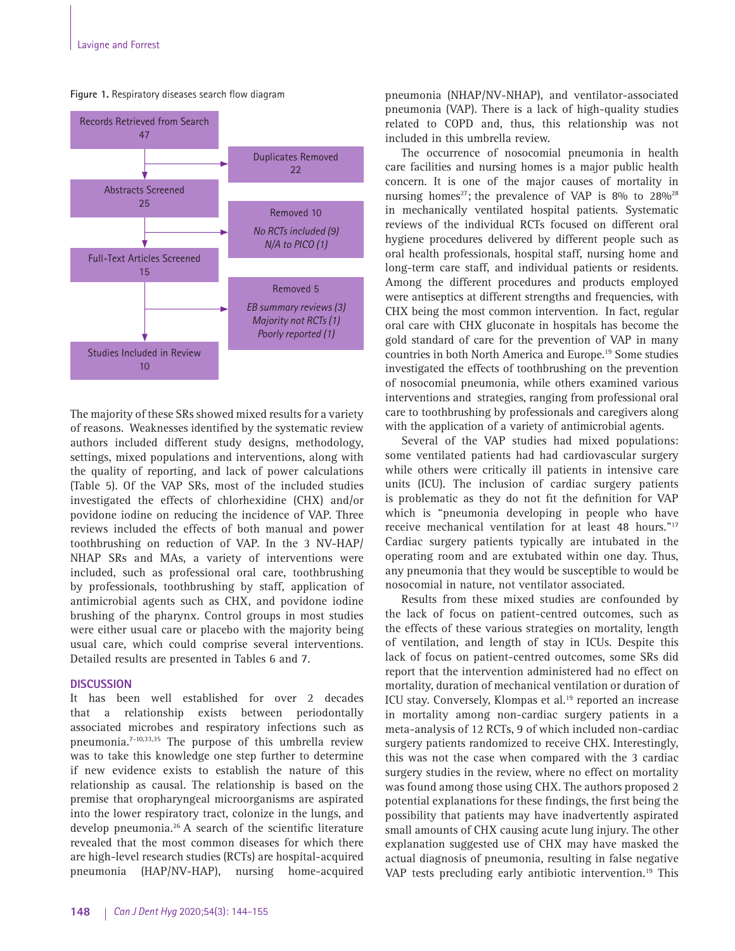

**Figure 1.** Respiratory diseases search flow diagram

The majority of these SRs showed mixed results for a variety of reasons. Weaknesses identified by the systematic review authors included different study designs, methodology, settings, mixed populations and interventions, along with the quality of reporting, and lack of power calculations (Table 5). Of the VAP SRs, most of the included studies investigated the effects of chlorhexidine (CHX) and/or povidone iodine on reducing the incidence of VAP. Three reviews included the effects of both manual and power toothbrushing on reduction of VAP. In the 3 NV-HAP/ NHAP SRs and MAs, a variety of interventions were included, such as professional oral care, toothbrushing by professionals, toothbrushing by staff, application of antimicrobial agents such as CHX, and povidone iodine brushing of the pharynx. Control groups in most studies were either usual care or placebo with the majority being usual care, which could comprise several interventions. Detailed results are presented in Tables 6 and 7.

#### **DISCUSSION**

It has been well established for over 2 decades that a relationship exists between periodontally associated microbes and respiratory infections such as pneumonia.7-10,33,35 The purpose of this umbrella review was to take this knowledge one step further to determine if new evidence exists to establish the nature of this relationship as causal. The relationship is based on the premise that oropharyngeal microorganisms are aspirated into the lower respiratory tract, colonize in the lungs, and develop pneumonia.26 A search of the scientific literature revealed that the most common diseases for which there are high-level research studies (RCTs) are hospital-acquired pneumonia (HAP/NV-HAP), nursing home-acquired pneumonia (NHAP/NV-NHAP), and ventilator-associated pneumonia (VAP). There is a lack of high-quality studies related to COPD and, thus, this relationship was not included in this umbrella review.

The occurrence of nosocomial pneumonia in health care facilities and nursing homes is a major public health concern. It is one of the major causes of mortality in nursing homes<sup>27</sup>; the prevalence of VAP is 8% to  $28\%$ <sup>28</sup> in mechanically ventilated hospital patients. Systematic reviews of the individual RCTs focused on different oral hygiene procedures delivered by different people such as oral health professionals, hospital staff, nursing home and long-term care staff, and individual patients or residents. Among the different procedures and products employed were antiseptics at different strengths and frequencies, with CHX being the most common intervention. In fact, regular oral care with CHX gluconate in hospitals has become the gold standard of care for the prevention of VAP in many countries in both North America and Europe.19 Some studies investigated the effects of toothbrushing on the prevention of nosocomial pneumonia, while others examined various interventions and strategies, ranging from professional oral care to toothbrushing by professionals and caregivers along with the application of a variety of antimicrobial agents.

Several of the VAP studies had mixed populations: some ventilated patients had had cardiovascular surgery while others were critically ill patients in intensive care units (ICU). The inclusion of cardiac surgery patients is problematic as they do not fit the definition for VAP which is "pneumonia developing in people who have receive mechanical ventilation for at least 48 hours."17 Cardiac surgery patients typically are intubated in the operating room and are extubated within one day. Thus, any pneumonia that they would be susceptible to would be nosocomial in nature, not ventilator associated.

Results from these mixed studies are confounded by the lack of focus on patient-centred outcomes, such as the effects of these various strategies on mortality, length of ventilation, and length of stay in ICUs. Despite this lack of focus on patient-centred outcomes, some SRs did report that the intervention administered had no effect on mortality, duration of mechanical ventilation or duration of ICU stay. Conversely, Klompas et al.<sup>19</sup> reported an increase in mortality among non-cardiac surgery patients in a meta-analysis of 12 RCTs, 9 of which included non-cardiac surgery patients randomized to receive CHX. Interestingly, this was not the case when compared with the 3 cardiac surgery studies in the review, where no effect on mortality was found among those using CHX. The authors proposed 2 potential explanations for these findings, the first being the possibility that patients may have inadvertently aspirated small amounts of CHX causing acute lung injury. The other explanation suggested use of CHX may have masked the actual diagnosis of pneumonia, resulting in false negative VAP tests precluding early antibiotic intervention.<sup>19</sup> This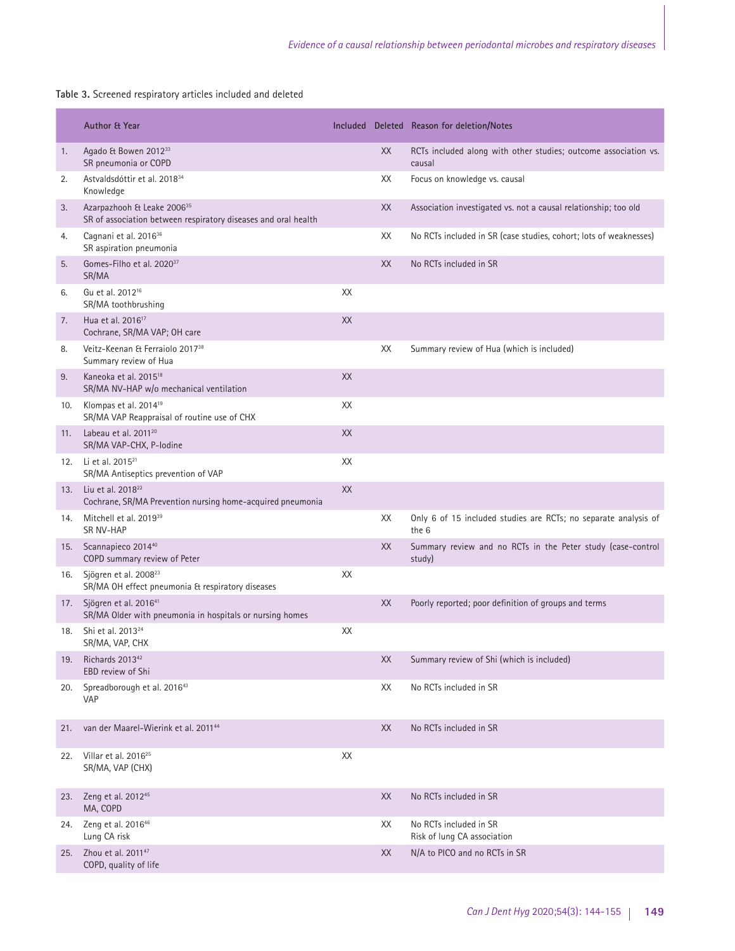**Table 3.** Screened respiratory articles included and deleted

|     | <b>Author &amp; Year</b>                                                                                 |    |    | Included Deleted Reason for deletion/Notes                                |
|-----|----------------------------------------------------------------------------------------------------------|----|----|---------------------------------------------------------------------------|
| 1.  | Agado & Bowen 201233<br>SR pneumonia or COPD                                                             |    | XX | RCTs included along with other studies; outcome association vs.<br>causal |
| 2.  | Astvaldsdóttir et al. 2018 <sup>34</sup><br>Knowledge                                                    |    | XХ | Focus on knowledge vs. causal                                             |
| 3.  | Azarpazhooh & Leake 2006 <sup>35</sup><br>SR of association between respiratory diseases and oral health |    | XX | Association investigated vs. not a causal relationship; too old           |
| 4.  | Cagnani et al. 2016 <sup>36</sup><br>SR aspiration pneumonia                                             |    | XX | No RCTs included in SR (case studies, cohort; lots of weaknesses)         |
| 5.  | Gomes-Filho et al. 2020 <sup>37</sup><br>SR/MA                                                           |    | XX | No RCTs included in SR                                                    |
| 6.  | Gu et al. 2012 <sup>16</sup><br>SR/MA toothbrushing                                                      | XX |    |                                                                           |
| 7.  | Hua et al. 2016 <sup>17</sup><br>Cochrane, SR/MA VAP; OH care                                            | XX |    |                                                                           |
| 8.  | Veitz-Keenan & Ferraiolo 2017 <sup>38</sup><br>Summary review of Hua                                     |    | XX | Summary review of Hua (which is included)                                 |
| 9.  | Kaneoka et al. 2015 <sup>18</sup><br>SR/MA NV-HAP w/o mechanical ventilation                             | XX |    |                                                                           |
| 10. | Klompas et al. 2014 <sup>19</sup><br>SR/MA VAP Reappraisal of routine use of CHX                         | XX |    |                                                                           |
| 11. | Labeau et al. 2011 <sup>20</sup><br>SR/MA VAP-CHX, P-Iodine                                              | XX |    |                                                                           |
|     | 12. Li et al. 2015 <sup>21</sup><br>SR/MA Antiseptics prevention of VAP                                  | XX |    |                                                                           |
| 13. | Liu et al. 2018 <sup>22</sup><br>Cochrane, SR/MA Prevention nursing home-acquired pneumonia              | XX |    |                                                                           |
| 14. | Mitchell et al. 2019 <sup>39</sup><br><b>SR NV-HAP</b>                                                   |    | XX | Only 6 of 15 included studies are RCTs; no separate analysis of<br>the 6  |
| 15. | Scannapieco 2014 <sup>40</sup><br>COPD summary review of Peter                                           |    | XX | Summary review and no RCTs in the Peter study (case-control<br>study)     |
| 16. | Sjögren et al. 2008 <sup>23</sup><br>SR/MA OH effect pneumonia & respiratory diseases                    | XX |    |                                                                           |
|     | 17. Sjögren et al. 2016 <sup>41</sup><br>SR/MA Older with pneumonia in hospitals or nursing homes        |    | XX | Poorly reported; poor definition of groups and terms                      |
| 18. | Shi et al. 2013 <sup>24</sup><br>SR/MA, VAP, CHX                                                         | XX |    |                                                                           |
| 19. | Richards 2013 <sup>42</sup><br>EBD review of Shi                                                         |    | XX | Summary review of Shi (which is included)                                 |
| 20. | Spreadborough et al. 201643<br><b>VAP</b>                                                                |    | XX | No RCTs included in SR                                                    |
| 21. | van der Maarel-Wierink et al. 2011 <sup>44</sup>                                                         |    | XX | No RCTs included in SR                                                    |
| 22. | Villar et al. 2016 <sup>25</sup><br>SR/MA, VAP (CHX)                                                     | XX |    |                                                                           |
| 23. | Zeng et al. 2012 <sup>45</sup><br>MA, COPD                                                               |    | XX | No RCTs included in SR                                                    |
| 24. | Zeng et al. 2016 <sup>46</sup><br>Lung CA risk                                                           |    | XX | No RCTs included in SR<br>Risk of lung CA association                     |
| 25. | Zhou et al. 2011 <sup>47</sup><br>COPD, quality of life                                                  |    | XX | N/A to PICO and no RCTs in SR                                             |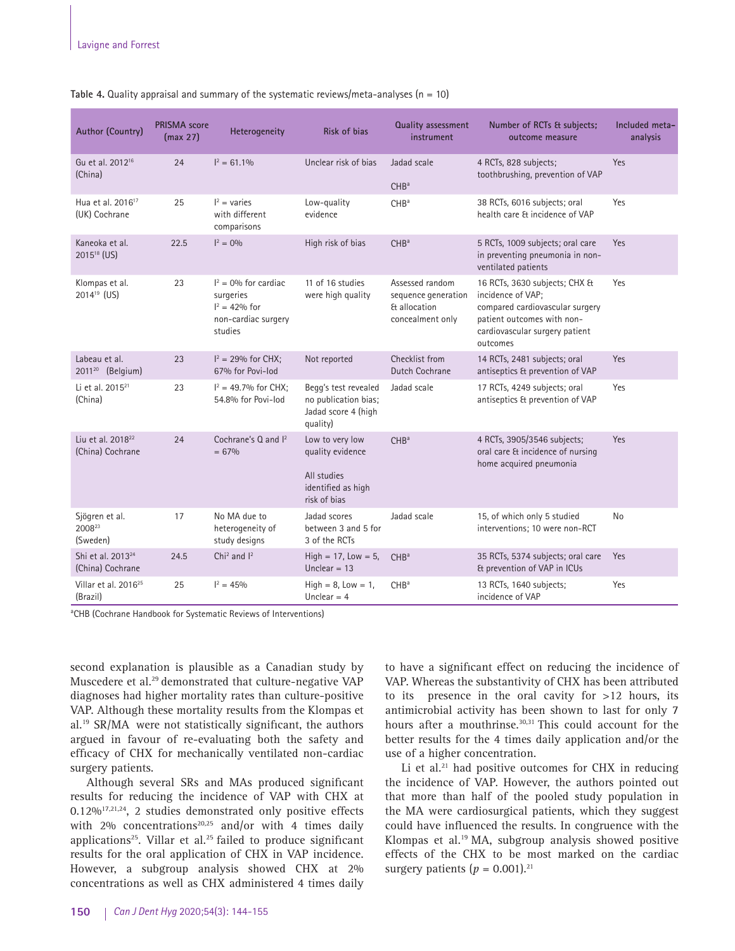| <b>Author (Country)</b>                           | <b>PRISMA</b> score<br>(max 27) | Heterogeneity                                                                              | <b>Risk of bias</b>                                                                      | <b>Quality assessment</b><br>instrument                                    | Number of RCTs & subjects;<br>outcome measure                                                                                                                     | Included meta-<br>analysis |
|---------------------------------------------------|---------------------------------|--------------------------------------------------------------------------------------------|------------------------------------------------------------------------------------------|----------------------------------------------------------------------------|-------------------------------------------------------------------------------------------------------------------------------------------------------------------|----------------------------|
| Gu et al. 2012 <sup>16</sup><br>(China)           | 24                              | $I^2 = 61.1\%$                                                                             | Unclear risk of bias                                                                     | Jadad scale<br>CHB <sup>a</sup>                                            | 4 RCTs, 828 subjects;<br>toothbrushing, prevention of VAP                                                                                                         | Yes                        |
| Hua et al. 2016 <sup>17</sup><br>(UK) Cochrane    | 25                              | $I^2$ = varies<br>with different<br>comparisons                                            | Low-quality<br>evidence                                                                  | CH <sub>Ba</sub>                                                           | 38 RCTs, 6016 subjects; oral<br>health care & incidence of VAP                                                                                                    | Yes                        |
| Kaneoka et al.<br>2015 <sup>18</sup> (US)         | 22.5                            | $I^2 = 0\%$                                                                                | High risk of bias                                                                        | CHB <sup>a</sup>                                                           | 5 RCTs, 1009 subjects; oral care<br>in preventing pneumonia in non-<br>ventilated patients                                                                        | Yes                        |
| Klompas et al.<br>$2014^{19}$ (US)                | 23                              | $I^2 = 0\%$ for cardiac<br>surgeries<br>$I^2 = 42\%$ for<br>non-cardiac surgery<br>studies | 11 of 16 studies<br>were high quality                                                    | Assessed random<br>sequence generation<br>& allocation<br>concealment only | 16 RCTs, 3630 subjects; CHX &<br>incidence of VAP;<br>compared cardiovascular surgery<br>patient outcomes with non-<br>cardiovascular surgery patient<br>outcomes | Yes                        |
| Labeau et al.<br>2011 <sup>20</sup> (Belgium)     | 23                              | $I^2 = 29%$ for CHX;<br>67% for Povi-lod                                                   | Not reported                                                                             | Checklist from<br>Dutch Cochrane                                           | 14 RCTs, 2481 subjects; oral<br>antiseptics & prevention of VAP                                                                                                   | Yes                        |
| Li et al. 2015 <sup>21</sup><br>(China)           | 23                              | $I^2 = 49.7\%$ for CHX;<br>54.8% for Povi-lod                                              | Begg's test revealed<br>no publication bias;<br>Jadad score 4 (high<br>quality)          | Jadad scale                                                                | 17 RCTs, 4249 subjects; oral<br>antiseptics & prevention of VAP                                                                                                   | Yes                        |
| Liu et al. 2018 <sup>22</sup><br>(China) Cochrane | 24                              | Cochrane's Q and I <sup>2</sup><br>$= 67\%$                                                | Low to very low<br>quality evidence<br>All studies<br>identified as high<br>risk of bias | CHB <sup>a</sup>                                                           | 4 RCTs, 3905/3546 subjects;<br>oral care & incidence of nursing<br>home acquired pneumonia                                                                        | Yes                        |
| Sjögren et al.<br>2008 <sup>23</sup><br>(Sweden)  | 17                              | No MA due to<br>heterogeneity of<br>study designs                                          | Jadad scores<br>between 3 and 5 for<br>3 of the RCTs                                     | Jadad scale                                                                | 15, of which only 5 studied<br>interventions; 10 were non-RCT                                                                                                     | No                         |
| Shi et al. 2013 <sup>24</sup><br>(China) Cochrane | 24.5                            | Chi <sup>2</sup> and $I2$                                                                  | $High = 17, Low = 5,$<br>Unclear $= 13$                                                  | CHB <sup>a</sup>                                                           | 35 RCTs, 5374 subjects; oral care<br>Et prevention of VAP in ICUs                                                                                                 | Yes                        |
| Villar et al. 2016 <sup>25</sup><br>(Brazil)      | 25                              | $I^2 = 45\%$                                                                               | $High = 8$ , Low = 1,<br>Unclear $=$ 4                                                   | CHB <sup>a</sup>                                                           | 13 RCTs, 1640 subjects;<br>incidence of VAP                                                                                                                       | Yes                        |

#### **Table 4.** Quality appraisal and summary of the systematic reviews/meta-analyses (n = 10)

<sup>a</sup>CHB (Cochrane Handbook for Systematic Reviews of Interventions)

second explanation is plausible as a Canadian study by Muscedere et al.29 demonstrated that culture-negative VAP diagnoses had higher mortality rates than culture-positive VAP. Although these mortality results from the Klompas et al.19 SR/MA were not statistically significant, the authors argued in favour of re-evaluating both the safety and efficacy of CHX for mechanically ventilated non-cardiac surgery patients.

Although several SRs and MAs produced significant results for reducing the incidence of VAP with CHX at  $0.12\%$ <sup>17,21,24</sup>, 2 studies demonstrated only positive effects with  $2\%$  concentrations<sup>20,25</sup> and/or with 4 times daily applications<sup>25</sup>. Villar et al.<sup>25</sup> failed to produce significant results for the oral application of CHX in VAP incidence. However, a subgroup analysis showed CHX at 2% concentrations as well as CHX administered 4 times daily to have a significant effect on reducing the incidence of VAP. Whereas the substantivity of CHX has been attributed to its presence in the oral cavity for >12 hours, its antimicrobial activity has been shown to last for only 7 hours after a mouthrinse.<sup>30,31</sup> This could account for the better results for the 4 times daily application and/or the use of a higher concentration.

Li et al.<sup>21</sup> had positive outcomes for CHX in reducing the incidence of VAP. However, the authors pointed out that more than half of the pooled study population in the MA were cardiosurgical patients, which they suggest could have influenced the results. In congruence with the Klompas et al.19 MA, subgroup analysis showed positive effects of the CHX to be most marked on the cardiac surgery patients  $(p = 0.001).^{21}$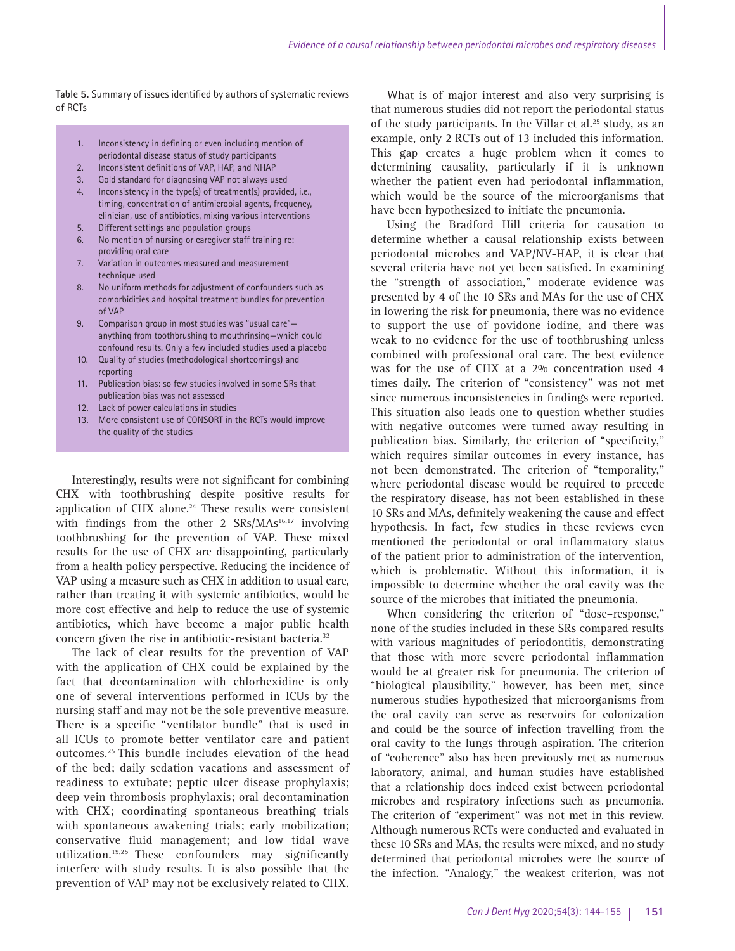**Table 5.** Summary of issues identified by authors of systematic reviews of RCTs

- 1. Inconsistency in defining or even including mention of periodontal disease status of study participants
- 2. Inconsistent definitions of VAP, HAP, and NHAP
- 3. Gold standard for diagnosing VAP not always used
- 4. Inconsistency in the type(s) of treatment(s) provided, i.e., timing, concentration of antimicrobial agents, frequency, clinician, use of antibiotics, mixing various interventions
- 5. Different settings and population groups
- 6. No mention of nursing or caregiver staff training re: providing oral care
- 7. Variation in outcomes measured and measurement technique used
- 8. No uniform methods for adjustment of confounders such as comorbidities and hospital treatment bundles for prevention of VAP
- 9. Comparison group in most studies was "usual care" anything from toothbrushing to mouthrinsing—which could confound results. Only a few included studies used a placebo
- 10. Quality of studies (methodological shortcomings) and reporting
- 11. Publication bias: so few studies involved in some SRs that publication bias was not assessed
- 12. Lack of power calculations in studies
- 13. More consistent use of CONSORT in the RCTs would improve the quality of the studies

Interestingly, results were not significant for combining CHX with toothbrushing despite positive results for application of CHX alone.<sup>24</sup> These results were consistent with findings from the other 2  $SRS/MAs^{16,17}$  involving toothbrushing for the prevention of VAP. These mixed results for the use of CHX are disappointing, particularly from a health policy perspective. Reducing the incidence of VAP using a measure such as CHX in addition to usual care, rather than treating it with systemic antibiotics, would be more cost effective and help to reduce the use of systemic antibiotics, which have become a major public health concern given the rise in antibiotic-resistant bacteria.<sup>32</sup>

The lack of clear results for the prevention of VAP with the application of CHX could be explained by the fact that decontamination with chlorhexidine is only one of several interventions performed in ICUs by the nursing staff and may not be the sole preventive measure. There is a specific "ventilator bundle" that is used in all ICUs to promote better ventilator care and patient outcomes.25 This bundle includes elevation of the head of the bed; daily sedation vacations and assessment of readiness to extubate; peptic ulcer disease prophylaxis; deep vein thrombosis prophylaxis; oral decontamination with CHX; coordinating spontaneous breathing trials with spontaneous awakening trials; early mobilization; conservative fluid management; and low tidal wave utilization.19,25 These confounders may significantly interfere with study results. It is also possible that the prevention of VAP may not be exclusively related to CHX.

What is of major interest and also very surprising is that numerous studies did not report the periodontal status of the study participants. In the Villar et al.<sup>25</sup> study, as an example, only 2 RCTs out of 13 included this information. This gap creates a huge problem when it comes to determining causality, particularly if it is unknown whether the patient even had periodontal inflammation, which would be the source of the microorganisms that have been hypothesized to initiate the pneumonia.

Using the Bradford Hill criteria for causation to determine whether a causal relationship exists between periodontal microbes and VAP/NV-HAP, it is clear that several criteria have not yet been satisfied. In examining the "strength of association," moderate evidence was presented by 4 of the 10 SRs and MAs for the use of CHX in lowering the risk for pneumonia, there was no evidence to support the use of povidone iodine, and there was weak to no evidence for the use of toothbrushing unless combined with professional oral care. The best evidence was for the use of CHX at a 2% concentration used 4 times daily. The criterion of "consistency" was not met since numerous inconsistencies in findings were reported. This situation also leads one to question whether studies with negative outcomes were turned away resulting in publication bias. Similarly, the criterion of "specificity," which requires similar outcomes in every instance, has not been demonstrated. The criterion of "temporality," where periodontal disease would be required to precede the respiratory disease, has not been established in these 10 SRs and MAs, definitely weakening the cause and effect hypothesis. In fact, few studies in these reviews even mentioned the periodontal or oral inflammatory status of the patient prior to administration of the intervention, which is problematic. Without this information, it is impossible to determine whether the oral cavity was the source of the microbes that initiated the pneumonia.

When considering the criterion of "dose–response," none of the studies included in these SRs compared results with various magnitudes of periodontitis, demonstrating that those with more severe periodontal inflammation would be at greater risk for pneumonia. The criterion of "biological plausibility," however, has been met, since numerous studies hypothesized that microorganisms from the oral cavity can serve as reservoirs for colonization and could be the source of infection travelling from the oral cavity to the lungs through aspiration. The criterion of "coherence" also has been previously met as numerous laboratory, animal, and human studies have established that a relationship does indeed exist between periodontal microbes and respiratory infections such as pneumonia. The criterion of "experiment" was not met in this review. Although numerous RCTs were conducted and evaluated in these 10 SRs and MAs, the results were mixed, and no study determined that periodontal microbes were the source of the infection. "Analogy," the weakest criterion, was not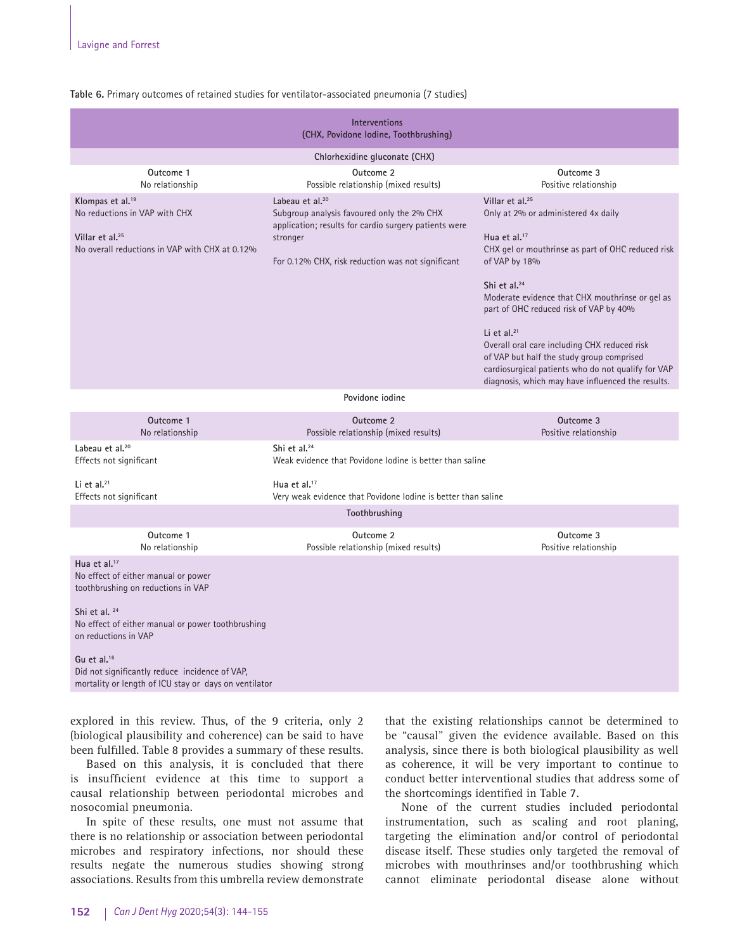|  |  |  | Table 6. Primary outcomes of retained studies for ventilator-associated pneumonia (7 studies) |
|--|--|--|-----------------------------------------------------------------------------------------------|
|--|--|--|-----------------------------------------------------------------------------------------------|

| <b>Interventions</b><br>(CHX, Povidone Iodine, Toothbrushing)                                                                                                                                                                                                                                                                    |                                                                                                                                                                                                     |                                                                                                                                                                                                                                                                                                                                                                                                                                                                                                                |  |  |  |
|----------------------------------------------------------------------------------------------------------------------------------------------------------------------------------------------------------------------------------------------------------------------------------------------------------------------------------|-----------------------------------------------------------------------------------------------------------------------------------------------------------------------------------------------------|----------------------------------------------------------------------------------------------------------------------------------------------------------------------------------------------------------------------------------------------------------------------------------------------------------------------------------------------------------------------------------------------------------------------------------------------------------------------------------------------------------------|--|--|--|
|                                                                                                                                                                                                                                                                                                                                  | Chlorhexidine gluconate (CHX)                                                                                                                                                                       |                                                                                                                                                                                                                                                                                                                                                                                                                                                                                                                |  |  |  |
| Outcome 1<br>No relationship                                                                                                                                                                                                                                                                                                     | Outcome 2<br>Possible relationship (mixed results)                                                                                                                                                  | Outcome 3<br>Positive relationship                                                                                                                                                                                                                                                                                                                                                                                                                                                                             |  |  |  |
| Klompas et al. <sup>19</sup><br>No reductions in VAP with CHX<br>Villar et al. <sup>25</sup><br>No overall reductions in VAP with CHX at 0.12%                                                                                                                                                                                   | Labeau et al. <sup>20</sup><br>Subgroup analysis favoured only the 2% CHX<br>application; results for cardio surgery patients were<br>stronger<br>For 0.12% CHX, risk reduction was not significant | Villar et al. <sup>25</sup><br>Only at 2% or administered 4x daily<br>Hua et al. $17$<br>CHX gel or mouthrinse as part of OHC reduced risk<br>of VAP by 18%<br>Shi et al. <sup>24</sup><br>Moderate evidence that CHX mouthrinse or gel as<br>part of OHC reduced risk of VAP by 40%<br>Li et al. $21$<br>Overall oral care including CHX reduced risk<br>of VAP but half the study group comprised<br>cardiosurgical patients who do not qualify for VAP<br>diagnosis, which may have influenced the results. |  |  |  |
|                                                                                                                                                                                                                                                                                                                                  | Povidone iodine                                                                                                                                                                                     |                                                                                                                                                                                                                                                                                                                                                                                                                                                                                                                |  |  |  |
| Outcome 1<br>No relationship                                                                                                                                                                                                                                                                                                     | Outcome 2<br>Possible relationship (mixed results)                                                                                                                                                  | Outcome 3<br>Positive relationship                                                                                                                                                                                                                                                                                                                                                                                                                                                                             |  |  |  |
| Labeau et al. <sup>20</sup><br>Effects not significant                                                                                                                                                                                                                                                                           | Shi et al. <sup>24</sup><br>Weak evidence that Povidone Jodine is better than saline                                                                                                                |                                                                                                                                                                                                                                                                                                                                                                                                                                                                                                                |  |  |  |
| Li et al. <sup>21</sup><br>Effects not significant                                                                                                                                                                                                                                                                               | Hua et al. $17$<br>Very weak evidence that Povidone Iodine is better than saline                                                                                                                    |                                                                                                                                                                                                                                                                                                                                                                                                                                                                                                                |  |  |  |
|                                                                                                                                                                                                                                                                                                                                  | Toothbrushing                                                                                                                                                                                       |                                                                                                                                                                                                                                                                                                                                                                                                                                                                                                                |  |  |  |
| Outcome 1<br>No relationship                                                                                                                                                                                                                                                                                                     | Outcome 2<br>Possible relationship (mixed results)                                                                                                                                                  | Outcome 3<br>Positive relationship                                                                                                                                                                                                                                                                                                                                                                                                                                                                             |  |  |  |
| Hua et al. <sup>17</sup><br>No effect of either manual or power<br>toothbrushing on reductions in VAP<br>Shi et al. 24<br>No effect of either manual or power toothbrushing<br>on reductions in VAP<br>Gu et al. $16$<br>Did not significantly reduce incidence of VAP,<br>mortality or length of ICU stay or days on ventilator |                                                                                                                                                                                                     |                                                                                                                                                                                                                                                                                                                                                                                                                                                                                                                |  |  |  |

explored in this review. Thus, of the 9 criteria, only 2 (biological plausibility and coherence) can be said to have been fulfilled. Table 8 provides a summary of these results.

Based on this analysis, it is concluded that there is insufficient evidence at this time to support a causal relationship between periodontal microbes and nosocomial pneumonia.

In spite of these results, one must not assume that there is no relationship or association between periodontal microbes and respiratory infections, nor should these results negate the numerous studies showing strong associations. Results from this umbrella review demonstrate that the existing relationships cannot be determined to be "causal" given the evidence available. Based on this analysis, since there is both biological plausibility as well as coherence, it will be very important to continue to conduct better interventional studies that address some of the shortcomings identified in Table 7.

None of the current studies included periodontal instrumentation, such as scaling and root planing, targeting the elimination and/or control of periodontal disease itself. These studies only targeted the removal of microbes with mouthrinses and/or toothbrushing which cannot eliminate periodontal disease alone without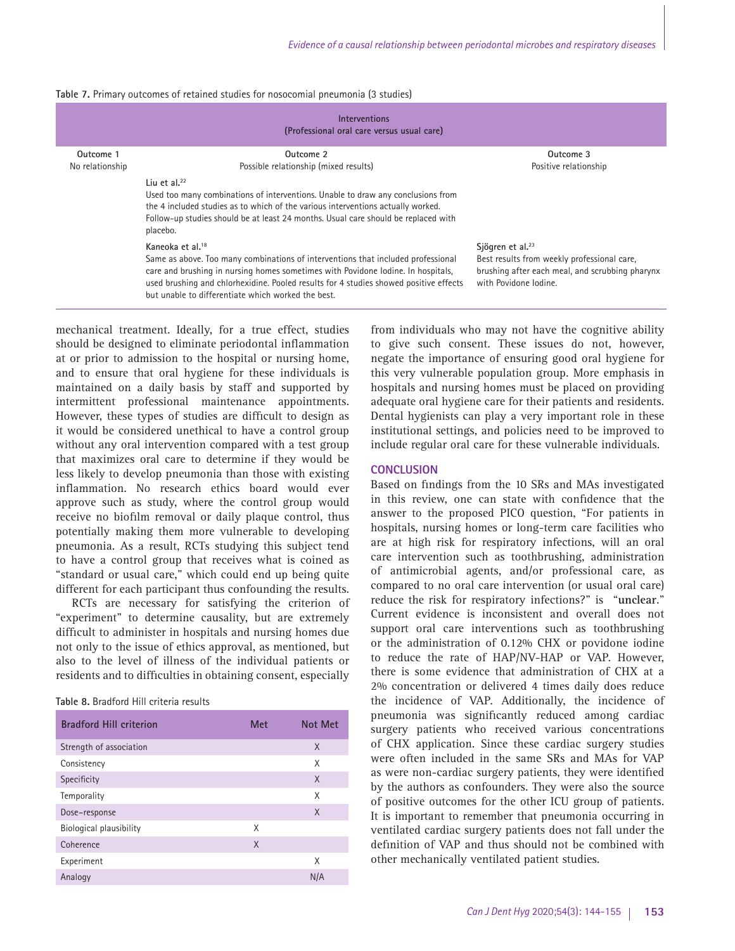| Table 7. Primary outcomes of retained studies for nosocomial pneumonia (3 studies) |  |  |  |  |  |  |
|------------------------------------------------------------------------------------|--|--|--|--|--|--|
|------------------------------------------------------------------------------------|--|--|--|--|--|--|

| <b>Interventions</b><br>(Professional oral care versus usual care) |                                                                                                                                                                                                                                                                                                                                                     |                                                                                                                                                         |  |  |  |
|--------------------------------------------------------------------|-----------------------------------------------------------------------------------------------------------------------------------------------------------------------------------------------------------------------------------------------------------------------------------------------------------------------------------------------------|---------------------------------------------------------------------------------------------------------------------------------------------------------|--|--|--|
| Outcome 1                                                          | Outcome 2                                                                                                                                                                                                                                                                                                                                           | Outcome 3                                                                                                                                               |  |  |  |
| No relationship                                                    | Possible relationship (mixed results)                                                                                                                                                                                                                                                                                                               | Positive relationship                                                                                                                                   |  |  |  |
|                                                                    | Liu et al. $22$<br>Used too many combinations of interventions. Unable to draw any conclusions from<br>the 4 included studies as to which of the various interventions actually worked.<br>Follow-up studies should be at least 24 months. Usual care should be replaced with<br>placebo.                                                           |                                                                                                                                                         |  |  |  |
|                                                                    | Kaneoka et al. <sup>18</sup><br>Same as above. Too many combinations of interventions that included professional<br>care and brushing in nursing homes sometimes with Povidone Iodine. In hospitals,<br>used brushing and chlorhexidine. Pooled results for 4 studies showed positive effects<br>but unable to differentiate which worked the best. | Sjögren et al. <sup>23</sup><br>Best results from weekly professional care,<br>brushing after each meal, and scrubbing pharynx<br>with Povidone Iodine. |  |  |  |

mechanical treatment. Ideally, for a true effect, studies should be designed to eliminate periodontal inflammation at or prior to admission to the hospital or nursing home, and to ensure that oral hygiene for these individuals is maintained on a daily basis by staff and supported by intermittent professional maintenance appointments. However, these types of studies are difficult to design as it would be considered unethical to have a control group without any oral intervention compared with a test group that maximizes oral care to determine if they would be less likely to develop pneumonia than those with existing inflammation. No research ethics board would ever approve such as study, where the control group would receive no biofilm removal or daily plaque control, thus potentially making them more vulnerable to developing pneumonia. As a result, RCTs studying this subject tend to have a control group that receives what is coined as "standard or usual care," which could end up being quite different for each participant thus confounding the results.

RCTs are necessary for satisfying the criterion of "experiment" to determine causality, but are extremely difficult to administer in hospitals and nursing homes due not only to the issue of ethics approval, as mentioned, but also to the level of illness of the individual patients or residents and to difficulties in obtaining consent, especially

| Table 8. Bradford Hill criteria results |  |
|-----------------------------------------|--|
|-----------------------------------------|--|

| <b>Bradford Hill criterion</b> | <b>Met</b> | <b>Not Met</b> |
|--------------------------------|------------|----------------|
| Strength of association        |            | X              |
| Consistency                    |            | X              |
| Specificity                    |            | X              |
| Temporality                    |            | X              |
| Dose-response                  |            | X              |
| Biological plausibility        | X          |                |
| Coherence                      | X          |                |
| Experiment                     |            | X              |
| Analogy                        |            | N/A            |

from individuals who may not have the cognitive ability to give such consent. These issues do not, however, negate the importance of ensuring good oral hygiene for this very vulnerable population group. More emphasis in hospitals and nursing homes must be placed on providing adequate oral hygiene care for their patients and residents. Dental hygienists can play a very important role in these institutional settings, and policies need to be improved to include regular oral care for these vulnerable individuals.

#### **CONCLUSION**

Based on findings from the 10 SRs and MAs investigated in this review, one can state with confidence that the answer to the proposed PICO question, "For patients in hospitals, nursing homes or long-term care facilities who are at high risk for respiratory infections, will an oral care intervention such as toothbrushing, administration of antimicrobial agents, and/or professional care, as compared to no oral care intervention (or usual oral care) reduce the risk for respiratory infections?" is "**unclear**." Current evidence is inconsistent and overall does not support oral care interventions such as toothbrushing or the administration of 0.12% CHX or povidone iodine to reduce the rate of HAP/NV-HAP or VAP. However, there is some evidence that administration of CHX at a 2% concentration or delivered 4 times daily does reduce the incidence of VAP. Additionally, the incidence of pneumonia was significantly reduced among cardiac surgery patients who received various concentrations of CHX application. Since these cardiac surgery studies were often included in the same SRs and MAs for VAP as were non-cardiac surgery patients, they were identified by the authors as confounders. They were also the source of positive outcomes for the other ICU group of patients. It is important to remember that pneumonia occurring in ventilated cardiac surgery patients does not fall under the definition of VAP and thus should not be combined with other mechanically ventilated patient studies.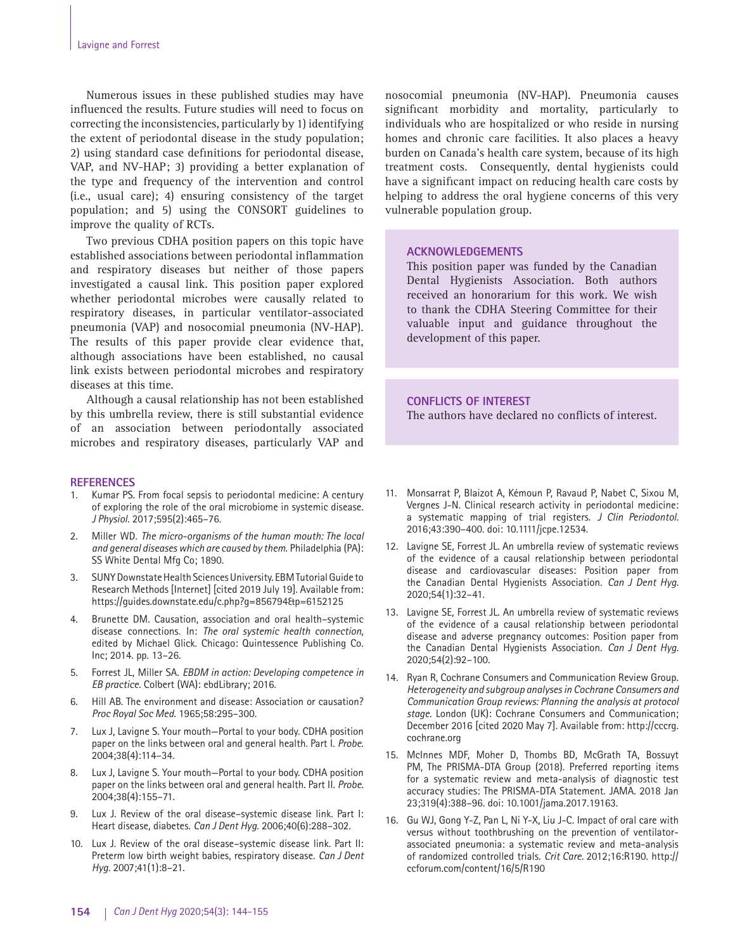Numerous issues in these published studies may have influenced the results. Future studies will need to focus on correcting the inconsistencies, particularly by 1) identifying the extent of periodontal disease in the study population; 2) using standard case definitions for periodontal disease, VAP, and NV-HAP; 3) providing a better explanation of the type and frequency of the intervention and control (i.e., usual care); 4) ensuring consistency of the target population; and 5) using the CONSORT guidelines to improve the quality of RCTs.

Two previous CDHA position papers on this topic have established associations between periodontal inflammation and respiratory diseases but neither of those papers investigated a causal link. This position paper explored whether periodontal microbes were causally related to respiratory diseases, in particular ventilator-associated pneumonia (VAP) and nosocomial pneumonia (NV-HAP). The results of this paper provide clear evidence that, although associations have been established, no causal link exists between periodontal microbes and respiratory diseases at this time.

Although a causal relationship has not been established by this umbrella review, there is still substantial evidence of an association between periodontally associated microbes and respiratory diseases, particularly VAP and

#### **REFERENCES**

- 1. Kumar PS. From focal sepsis to periodontal medicine: A century of exploring the role of the oral microbiome in systemic disease*. J Physiol.* 2017;595(2):465–76.
- 2. Miller WD. *The micro-organisms of the human mouth: The local and general diseases which are caused by them*. Philadelphia (PA): SS White Dental Mfg Co; 1890.
- 3. SUNY Downstate Health Sciences University. EBM Tutorial Guide to Research Methods [Internet] [cited 2019 July 19]. Available from: https://guides.downstate.edu/c.php?g=856794&p=6152125
- 4. Brunette DM. Causation, association and oral health–systemic disease connections. In: *The oral systemic health connection*, edited by Michael Glick. Chicago: Quintessence Publishing Co. Inc; 2014. pp. 13–26.
- 5. Forrest JL, Miller SA. *EBDM in action: Developing competence in EB practice*. Colbert (WA): ebdLibrary; 2016.
- 6. Hill AB. The environment and disease: Association or causation? *Proc Royal Soc Med.* 1965;58:295–300.
- 7. Lux J, Lavigne S. Your mouth—Portal to your body. CDHA position paper on the links between oral and general health. Part I. *Probe.* 2004;38(4):114–34.
- 8. Lux J, Lavigne S. Your mouth—Portal to your body. CDHA position paper on the links between oral and general health. Part II. *Probe.* 2004;38(4):155–71.
- 9. Lux J. Review of the oral disease–systemic disease link. Part I: Heart disease, diabetes. *Can J Dent Hyg.* 2006;40(6):288–302.
- 10. Lux J. Review of the oral disease–systemic disease link. Part II: Preterm low birth weight babies, respiratory disease. *Can J Dent Hyg.* 2007;41(1):8–21.

nosocomial pneumonia (NV-HAP). Pneumonia causes significant morbidity and mortality, particularly to individuals who are hospitalized or who reside in nursing homes and chronic care facilities. It also places a heavy burden on Canada's health care system, because of its high treatment costs. Consequently, dental hygienists could have a significant impact on reducing health care costs by helping to address the oral hygiene concerns of this very vulnerable population group.

## **ACKNOWLEDGEMENTS**

This position paper was funded by the Canadian Dental Hygienists Association. Both authors received an honorarium for this work. We wish to thank the CDHA Steering Committee for their valuable input and guidance throughout the development of this paper.

#### **CONFLICTS OF INTEREST**

The authors have declared no conflicts of interest.

- 11. Monsarrat P, Blaizot A, Kémoun P, Ravaud P, Nabet C, Sixou M, Vergnes J-N. Clinical research activity in periodontal medicine: a systematic mapping of trial registers. *J Clin Periodontol.* 2016;43:390–400. doi: 10.1111/jcpe.12534.
- 12. Lavigne SE, Forrest JL. An umbrella review of systematic reviews of the evidence of a causal relationship between periodontal disease and cardiovascular diseases: Position paper from the Canadian Dental Hygienists Association. *Can J Dent Hyg.* 2020;54(1):32–41.
- 13. Lavigne SE, Forrest JL. An umbrella review of systematic reviews of the evidence of a causal relationship between periodontal disease and adverse pregnancy outcomes: Position paper from the Canadian Dental Hygienists Association. *Can J Dent Hyg.* 2020;54(2):92–100.
- 14. Ryan R, Cochrane Consumers and Communication Review Group. *Heterogeneity and subgroup analyses in Cochrane Consumers and Communication Group reviews: Planning the analysis at protocol stage*. London (UK): Cochrane Consumers and Communication; December 2016 [cited 2020 May 7]. Available from: http://cccrg. cochrane.org
- 15. McInnes MDF, Moher D, Thombs BD, McGrath TA, Bossuyt PM, The PRISMA-DTA Group (2018). Preferred reporting items for a systematic review and meta-analysis of diagnostic test accuracy studies: The PRISMA-DTA Statement. JAMA. 2018 Jan 23;319(4):388–96. doi: 10.1001/jama.2017.19163.
- 16. Gu WJ, Gong Y-Z, Pan L, Ni Y-X, Liu J-C. Impact of oral care with versus without toothbrushing on the prevention of ventilatorassociated pneumonia: a systematic review and meta-analysis of randomized controlled trials. *Crit Care.* 2012;16:R190. http:// ccforum.com/content/16/5/R190